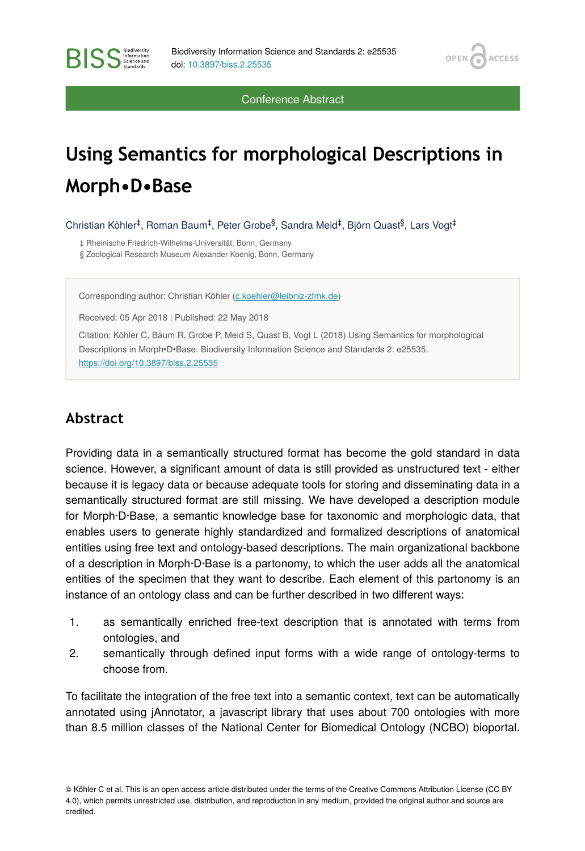OPEN<sub>6</sub>

**ACCESS** 

Conference Abstract

# **Using Semantics for morphological Descriptions in Morph•D•Base**

Christian Köhler<sup>‡</sup>, Roman Baum<sup>‡</sup>, Peter Grobe<sup>§</sup>, Sandra Meid<sup>‡</sup>, Björn Quast<sup>§</sup>, Lars Vogt<sup>‡</sup>

‡ Rheinische Friedrich-Wilhelms-Universität, Bonn, Germany § Zoological Research Museum Alexander Koenig, Bonn, Germany

Corresponding author: Christian Köhler [\(c.koehler@leibniz-zfmk.de](mailto:c.koehler@leibniz-zfmk.de))

Received: 05 Apr 2018 | Published: 22 May 2018

Citation: Köhler C, Baum R, Grobe P, Meid S, Quast B, Vogt L (2018) Using Semantics for morphological Descriptions in Morph•D•Base. Biodiversity Information Science and Standards 2: e25535. <https://doi.org/10.3897/biss.2.25535>

## **Abstract**

Providing data in a semantically structured format has become the gold standard in data science. However, a significant amount of data is still provided as unstructured text - either because it is legacy data or because adequate tools for storing and disseminating data in a semantically structured format are still missing. We have developed a description module for Morph·D·Base, a semantic knowledge base for taxonomic and morphologic data, that enables users to generate highly standardized and formalized descriptions of anatomical entities using free text and ontology-based descriptions. The main organizational backbone of a description in Morph·D·Base is a partonomy, to which the user adds all the anatomical entities of the specimen that they want to describe. Each element of this partonomy is an instance of an ontology class and can be further described in two different ways:

- 1. as semantically enriched free-text description that is annotated with terms from ontologies, and
- 2. semantically through defined input forms with a wide range of ontology-terms to choose from.

To facilitate the integration of the free text into a semantic context, text can be automatically annotated using jAnnotator, a javascript library that uses about 700 ontologies with more than 8.5 million classes of the National Center for Biomedical Ontology (NCBO) bioportal.

© Köhler C et al. This is an open access article distributed under the terms of the Creative Commons Attribution License (CC BY 4.0), which permits unrestricted use, distribution, and reproduction in any medium, provided the original author and source are credited.